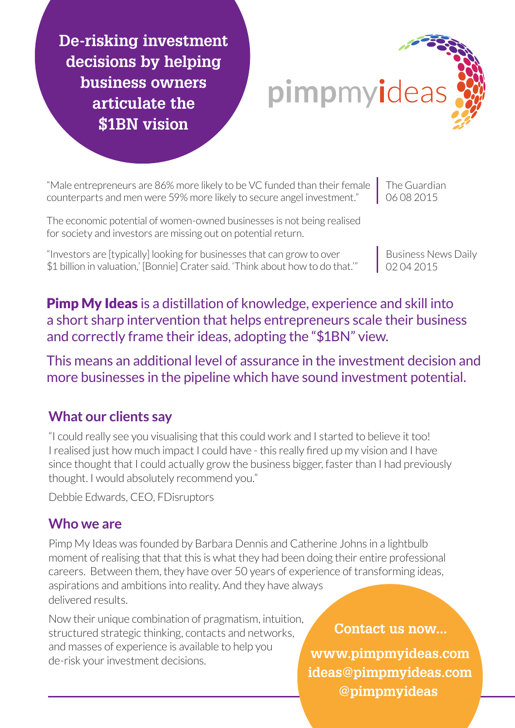**De-risking investment decisions by helping business owners articulate the \$1BN vision**



"Male entrepreneurs are 86% more likely to be VC funded than their female counterparts and men were 59% more likely to secure angel investment."

The economic potential of women-owned businesses is not being realised for society and investors are missing out on potential return.

"Investors are [typically] looking for businesses that can grow to over \$1 billion in valuation,' [Bonnie] Crater said. 'Think about how to do that.'"

The Guardian 06 08 2015

> Business News Daily 02 04 2015

**Pimp My Ideas** is a distillation of knowledge, experience and skill into a short sharp intervention that helps entrepreneurs scale their business and correctly frame their ideas, adopting the "\$1BN" view.

This means an additional level of assurance in the investment decision and more businesses in the pipeline which have sound investment potential.

## **What our clients say**

"I could really see you visualising that this could work and I started to believe it too! I realised just how much impact I could have - this really fired up my vision and I have since thought that I could actually grow the business bigger, faster than I had previously thought. I would absolutely recommend you."

Debbie Edwards, CEO, FDisruptors

## **Who we are**

Pimp My Ideas was founded by Barbara Dennis and Catherine Johns in a lightbulb moment of realising that that this is what they had been doing their entire professional careers. Between them, they have over 50 years of experience of transforming ideas, aspirations and ambitions into reality. And they have always delivered results.

Now their unique combination of pragmatism, intuition, structured strategic thinking, contacts and networks, and masses of experience is available to help you de-risk your investment decisions. **www.pimpmyideas.com**

**ideas@pimpmyideas.com @pimpmyideas Contact us now...**